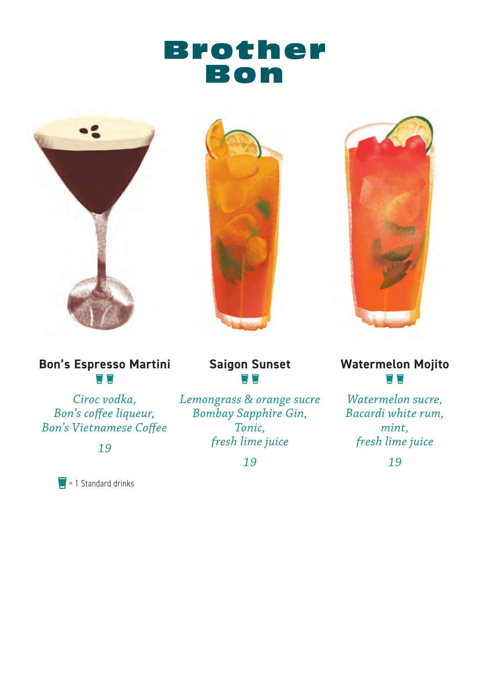# **Brother** Bon







*Ciroc vodka, Bon's coffee liqueur, Bon's Vietnamese Coffee*

*19*

= 1 Standard drinks

**Saigon Sunset**  $\Box$   $\Box$ 

*Lemongrass & orange sucre Bombay Sapphire Gin, Tonic, fresh lime juice*

*19*



**Watermelon Mojito**  $\Box$ 

*Watermelon sucre, Bacardi white rum, mint, fresh lime juice*

*19*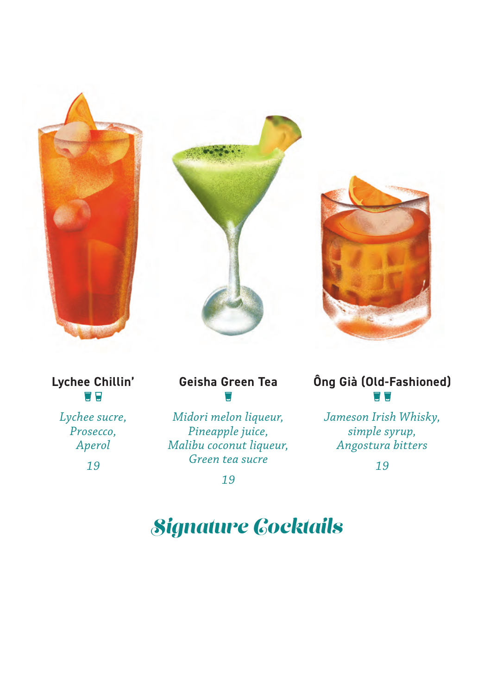

**Lychee Chillin'**

*Lychee sucre, Prosecco, Aperol*

*19*

# **Geisha Green Tea**

*Midori melon liqueur, Pineapple juice, Malibu coconut liqueur, Green tea sucre*

*19*

#### **Ông Già (Old-Fashioned)**  $\Box$   $\Box$

*Jameson Irish Whisky, simple syrup, Angostura bitters*

*19*

# *Signature Cocktails*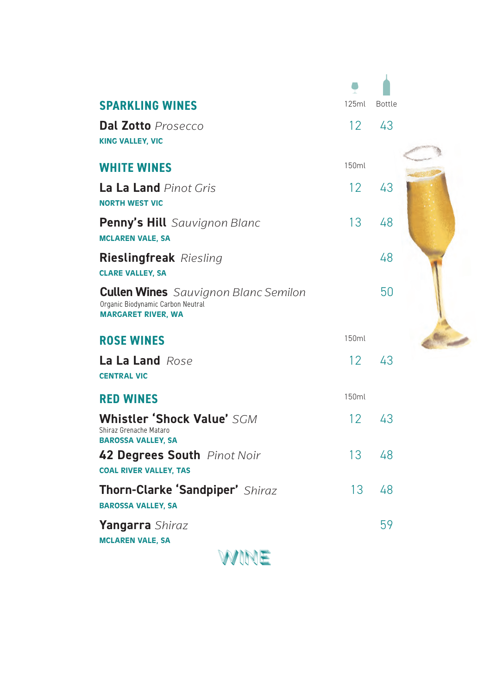| <b>SPARKLING WINES</b>                                                                                        | 125ml           | Bottle |  |
|---------------------------------------------------------------------------------------------------------------|-----------------|--------|--|
| <b>Dal Zotto</b> Prosecco<br><b>KING VALLEY, VIC</b>                                                          | 12 <sup>°</sup> | 43     |  |
| <b>WHITE WINES</b>                                                                                            | 150ml           |        |  |
| La La Land Pinot Gris<br><b>NORTH WEST VIC</b>                                                                | 12              | 43     |  |
| Penny's Hill Sauvignon Blanc<br><b>MCLAREN VALE, SA</b>                                                       | 13              | 48     |  |
| <b>Rieslingfreak</b> Riesling<br><b>CLARE VALLEY, SA</b>                                                      |                 | 48     |  |
| <b>Cullen Wines</b> Sauvignon Blanc Semilon<br>Organic Biodynamic Carbon Neutral<br><b>MARGARET RIVER, WA</b> |                 | 50     |  |
| <b>ROSE WINES</b>                                                                                             | 150ml           |        |  |
| La La Land Rose<br><b>CENTRAL VIC</b>                                                                         | 12              | 43     |  |
| <b>RED WINES</b>                                                                                              | 150ml           |        |  |
| <b>Whistler 'Shock Value' SGM</b><br>Shiraz Grenache Mataro<br><b>BAROSSA VALLEY, SA</b>                      | 12 <sup>°</sup> | 43     |  |
| 42 Degrees South Pinot Noir<br><b>COAL RIVER VALLEY, TAS</b>                                                  | 13 <sup>°</sup> | 48     |  |
| Thorn-Clarke 'Sandpiper' Shiraz<br><b>BAROSSA VALLEY, SA</b>                                                  | 13              | 48     |  |
| Yangarra Shiraz<br><b>MCLAREN VALE, SA</b>                                                                    |                 | 59     |  |
|                                                                                                               |                 |        |  |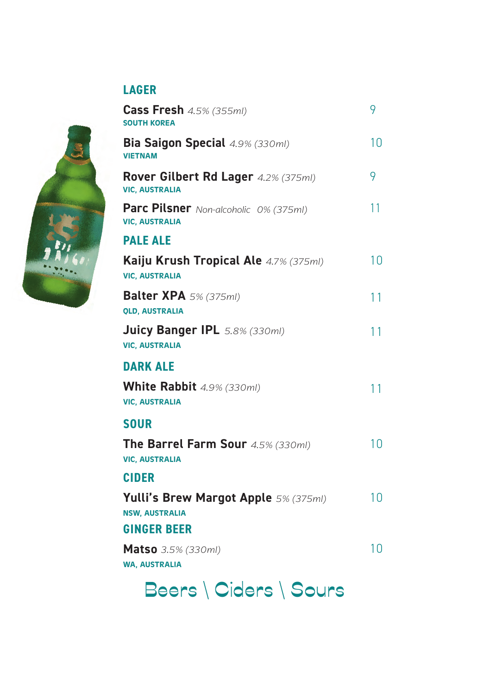

**LAGER**

**Cass Fresh** *4.5% (355ml)*

#### SOUTH KOREA **Bia Saigon Special** *4.9% (330ml)* **B** VIETNAM V 10 **DARK ALE White Rabbit** *4.9% (330ml)* VIC, AUSTRALIA 11 **PALE ALE Kaiju Krush Tropical Ale** *4.7% (375ml)* VIC, AUSTRALIA 10 **Balter XPA** *5% (375ml)* QLD, AUSTRALIA 11 **CIDER Yulli's Brew Margot Apple** *5% (375ml)* NSW, AUSTRALIA 10 **GINGER BEER Matso** *3.5% (330ml)* 10 **SOUR The Barrel Farm Sour** *4.5% (330ml)* VIC, AUSTRALIA 10 **Rover Gilbert Rd Lager** *4.2% (375ml)* VIC, AUSTRALIA 9 **Juicy Banger IPL** *5.8% (330ml)* VIC, AUSTRALIA 11 **Parc Pilsner** *Non-alcoholic 0% (375ml)* VIC, AUSTRALIA 11

9

WA, AUSTRALIA

Beers \ Ciders \ Sours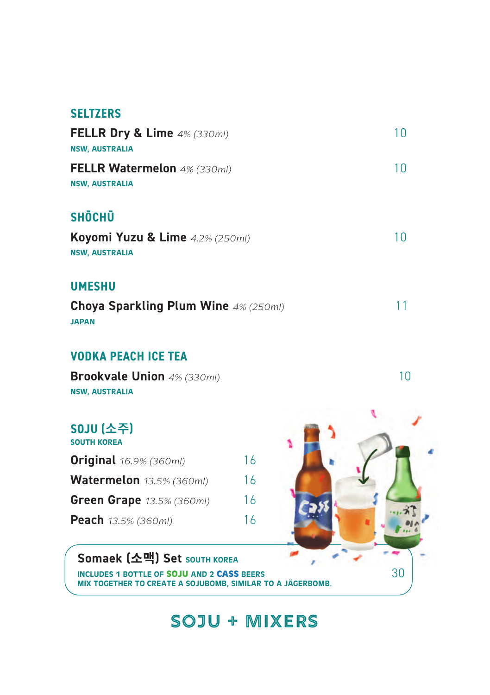#### **SELTZERS**

| FELLR Dry & Lime $4\%$ (330ml)<br><b>NSW, AUSTRALIA</b>                      | 10. |
|------------------------------------------------------------------------------|-----|
| <b>FELLR Watermelon</b> 4% (330ml)<br><b>NSW, AUSTRALIA</b>                  | 10. |
| <b>SHŌCHŪ</b><br>Koyomi Yuzu & Lime 4.2% (250ml)<br><b>NSW, AUSTRALIA</b>    | 10. |
| <b>UMESHU</b><br><b>Choya Sparkling Plum Wine 4% (250ml)</b><br><b>JAPAN</b> | 11  |

#### **VODKA PEACH ICE TEA**

**Brookvale Union** *4% (330ml)* NSW, AUSTRALIA

| <b>SOJU (소주)</b><br><b>SOUTH KOREA</b> |    |
|----------------------------------------|----|
| <b>Original</b> 16.9% (360ml)          | 16 |
| Watermelon 13.5% (360ml)               | 16 |
| Green Grape 13.5% (360ml)              | 16 |
| Peach 13.5% (360ml)                    | 16 |

Somaek (소맥) Set SOUTH KOREA



### **Soju + Mixers**

10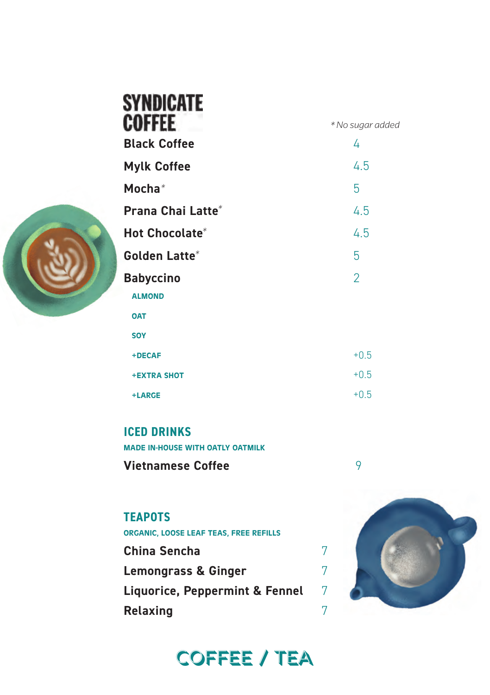

| <b>SYNDICATE</b>    |                  |
|---------------------|------------------|
| <b>COFFEE</b>       | * No sugar added |
| <b>Black Coffee</b> | 4                |
| <b>Mylk Coffee</b>  | 4.5              |
| Mocha $*$           | 5                |
| Prana Chai Latte*   | 4.5              |
| Hot Chocolate*      | 4.5              |
| Golden Latte*       | 5                |
| <b>Babyccino</b>    | $\overline{2}$   |
| <b>ALMOND</b>       |                  |
| <b>OAT</b>          |                  |
| <b>SOY</b>          |                  |
| +DECAF              | $+0.5$           |
| <b>+EXTRA SHOT</b>  | $+0.5$           |
| +LARGE              | $+0.5$           |
|                     |                  |

**ICED DRINKS**

MADE IN-HOUSE WITH OATLY OATMILK **Vietnamese Coffee** 9

### **TEAPOTS**

ORGANIC, LOOSE LEAF TEAS, FREE REFILLS

**China Sencha** 7 **Lemongrass & Ginger** 7 **Liquorice, Peppermint & Fennel** 7 **Relaxing** 7



# Coffee / Tea